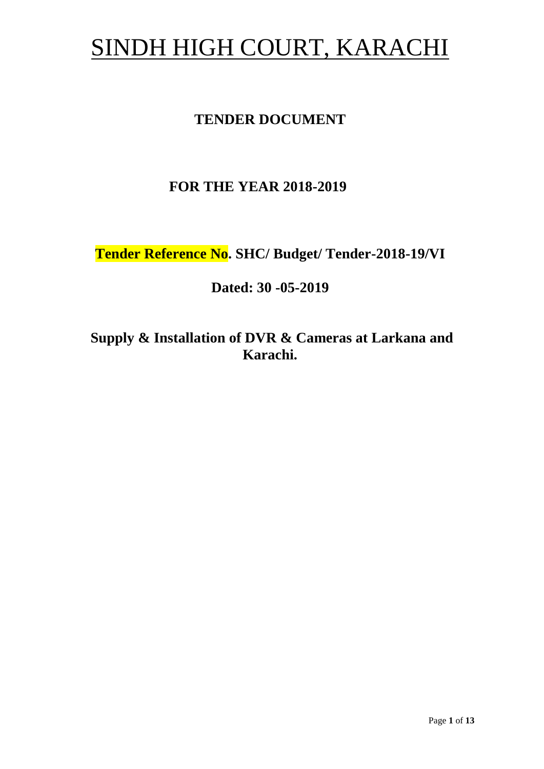# SINDH HIGH COURT, KARACHI

# **TENDER DOCUMENT**

# **FOR THE YEAR 2018-2019**

**Tender Reference No. SHC/ Budget/ Tender-2018-19/VI**

**Dated: 30 -05-2019**

**Supply & Installation of DVR & Cameras at Larkana and Karachi.**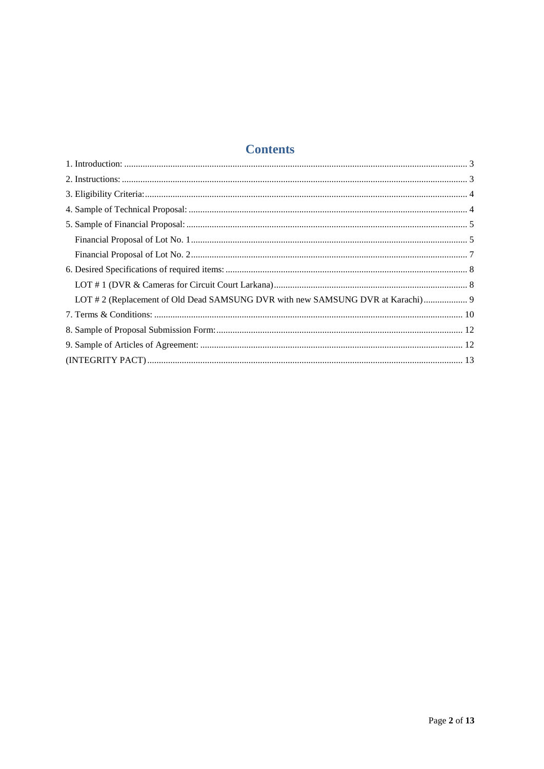# **Contents**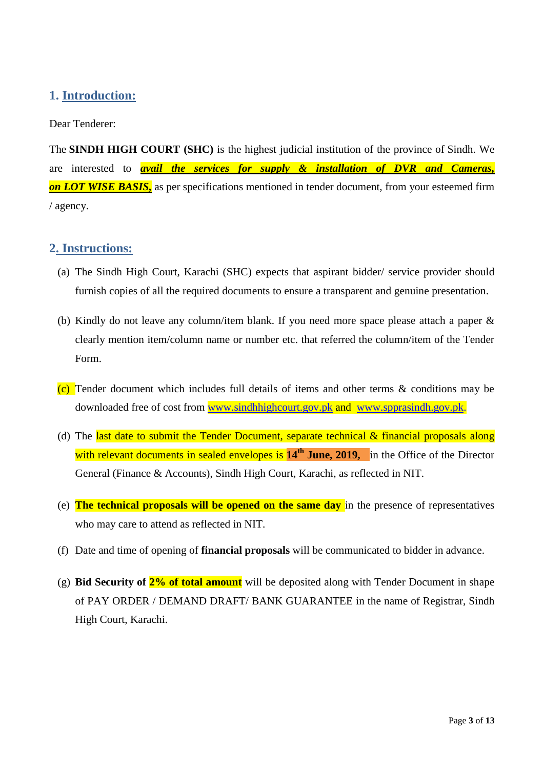### <span id="page-2-0"></span>**1. Introduction:**

#### Dear Tenderer:

The **SINDH HIGH COURT (SHC)** is the highest judicial institution of the province of [Sindh.](https://en.wikipedia.org/wiki/Sindh) We are interested to *avail the services for supply & installation of DVR and Cameras, on LOT WISE BASIS,* as per specifications mentioned in tender document, from your esteemed firm / agency.

#### <span id="page-2-1"></span>**2. Instructions:**

- (a) The Sindh High Court, Karachi (SHC) expects that aspirant bidder/ service provider should furnish copies of all the required documents to ensure a transparent and genuine presentation.
- (b) Kindly do not leave any column/item blank. If you need more space please attach a paper & clearly mention item/column name or number etc. that referred the column/item of the Tender Form.
- (c) Tender document which includes full details of items and other terms  $\&$  conditions may be downloaded free of cost from [www.sindhhighcourt.gov.pk](http://www.sindhhighcourt.gov.pk/) and [www.spprasindh.gov.pk.](http://www.spprasindh.gov.pk/)
- (d) The last date to submit the Tender Document, separate technical  $\&$  financial proposals along with relevant documents in sealed envelopes is **14th June, 2019,** in the Office of the Director General (Finance & Accounts), Sindh High Court, Karachi, as reflected in NIT.
- (e) **The technical proposals will be opened on the same day** in the presence of representatives who may care to attend as reflected in NIT.
- (f) Date and time of opening of **financial proposals** will be communicated to bidder in advance.
- (g) **Bid Security of 2% of total amount** will be deposited along with Tender Document in shape of PAY ORDER / DEMAND DRAFT/ BANK GUARANTEE in the name of Registrar, Sindh High Court, Karachi.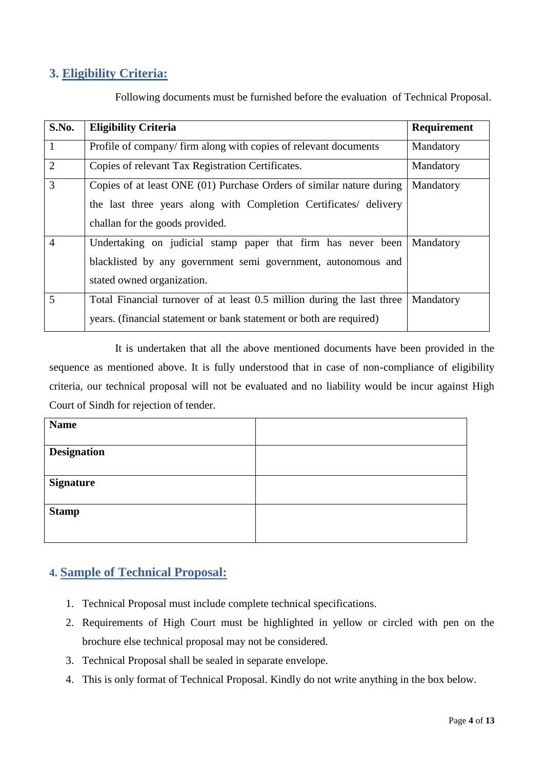### <span id="page-3-0"></span>**3. Eligibility Criteria:**

| S.No.          | <b>Eligibility Criteria</b>                                                                                                                                                  | Requirement |
|----------------|------------------------------------------------------------------------------------------------------------------------------------------------------------------------------|-------------|
| $\mathbf{1}$   | Profile of company/firm along with copies of relevant documents                                                                                                              | Mandatory   |
| $\overline{2}$ | Copies of relevant Tax Registration Certificates.                                                                                                                            | Mandatory   |
| $\overline{3}$ | Copies of at least ONE (01) Purchase Orders of similar nature during<br>the last three years along with Completion Certificates/ delivery<br>challan for the goods provided. | Mandatory   |
| $\overline{4}$ | Undertaking on judicial stamp paper that firm has never been<br>blacklisted by any government semi government, autonomous and<br>stated owned organization.                  | Mandatory   |
| 5              | Total Financial turnover of at least 0.5 million during the last three<br>years. (financial statement or bank statement or both are required)                                | Mandatory   |

Following documents must be furnished before the evaluation of Technical Proposal.

It is undertaken that all the above mentioned documents have been provided in the sequence as mentioned above. It is fully understood that in case of non-compliance of eligibility criteria, our technical proposal will not be evaluated and no liability would be incur against High Court of Sindh for rejection of tender.

| <b>Name</b>        |  |
|--------------------|--|
| <b>Designation</b> |  |
| <b>Signature</b>   |  |
| <b>Stamp</b>       |  |

### <span id="page-3-1"></span>**4. Sample of Technical Proposal:**

- 1. Technical Proposal must include complete technical specifications.
- 2. Requirements of High Court must be highlighted in yellow or circled with pen on the brochure else technical proposal may not be considered.
- 3. Technical Proposal shall be sealed in separate envelope.
- 4. This is only format of Technical Proposal. Kindly do not write anything in the box below.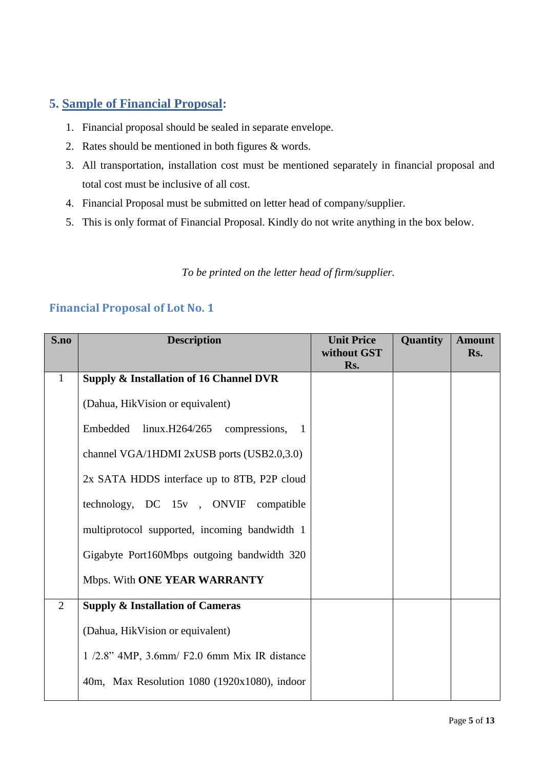### <span id="page-4-0"></span>**5. Sample of Financial Proposal:**

- 1. Financial proposal should be sealed in separate envelope.
- 2. Rates should be mentioned in both figures & words.
- 3. All transportation, installation cost must be mentioned separately in financial proposal and total cost must be inclusive of all cost.
- 4. Financial Proposal must be submitted on letter head of company/supplier.
- 5. This is only format of Financial Proposal. Kindly do not write anything in the box below.

*To be printed on the letter head of firm/supplier.*

| S.no           | <b>Description</b>                                           | <b>Unit Price</b><br>without GST<br>Rs. | <b>Quantity</b> | <b>Amount</b><br>Rs. |
|----------------|--------------------------------------------------------------|-----------------------------------------|-----------------|----------------------|
| $\mathbf{1}$   | <b>Supply &amp; Installation of 16 Channel DVR</b>           |                                         |                 |                      |
|                | (Dahua, Hik Vision or equivalent)                            |                                         |                 |                      |
|                | Embedded<br>$linux.H264/265$ compressions,<br>$\blacksquare$ |                                         |                 |                      |
|                | channel VGA/1HDMI 2xUSB ports (USB2.0,3.0)                   |                                         |                 |                      |
|                | 2x SATA HDDS interface up to 8TB, P2P cloud                  |                                         |                 |                      |
|                | technology, DC 15v, ONVIF compatible                         |                                         |                 |                      |
|                | multiprotocol supported, incoming bandwidth 1                |                                         |                 |                      |
|                | Gigabyte Port160Mbps outgoing bandwidth 320                  |                                         |                 |                      |
|                | Mbps. With ONE YEAR WARRANTY                                 |                                         |                 |                      |
| $\overline{2}$ | <b>Supply &amp; Installation of Cameras</b>                  |                                         |                 |                      |
|                | (Dahua, Hik Vision or equivalent)                            |                                         |                 |                      |
|                | 1/2.8" 4MP, 3.6mm/ F2.0 6mm Mix IR distance                  |                                         |                 |                      |
|                | 40m, Max Resolution 1080 (1920x1080), indoor                 |                                         |                 |                      |

### <span id="page-4-1"></span>**Financial Proposal of Lot No. 1**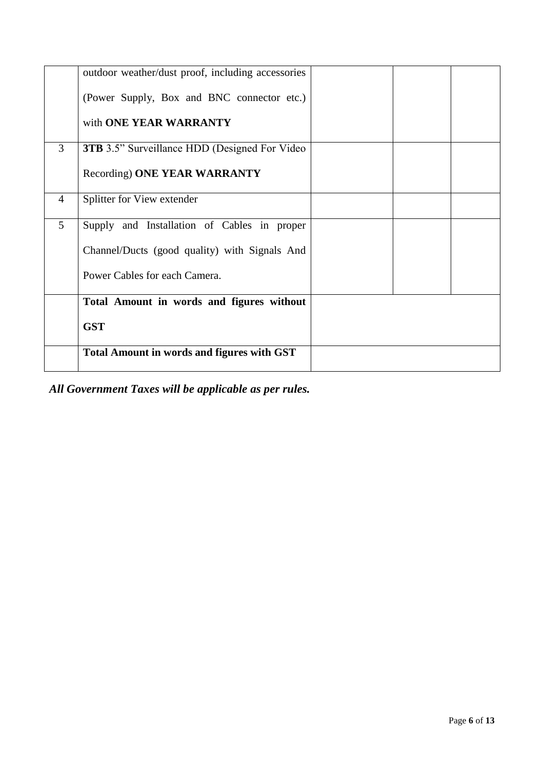|                | outdoor weather/dust proof, including accessories     |  |  |
|----------------|-------------------------------------------------------|--|--|
|                | (Power Supply, Box and BNC connector etc.)            |  |  |
|                | with ONE YEAR WARRANTY                                |  |  |
| 3              | <b>3TB</b> 3.5" Surveillance HDD (Designed For Video) |  |  |
|                | Recording) ONE YEAR WARRANTY                          |  |  |
| $\overline{4}$ | Splitter for View extender                            |  |  |
| 5 <sup>5</sup> | Supply and Installation of Cables in proper           |  |  |
|                | Channel/Ducts (good quality) with Signals And         |  |  |
|                | Power Cables for each Camera.                         |  |  |
|                | Total Amount in words and figures without             |  |  |
|                | <b>GST</b>                                            |  |  |
|                | <b>Total Amount in words and figures with GST</b>     |  |  |

*All Government Taxes will be applicable as per rules.*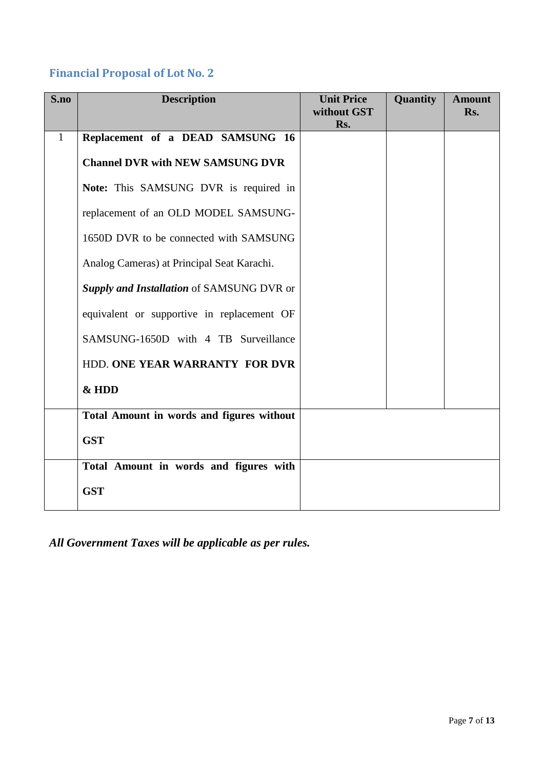# <span id="page-6-0"></span>**Financial Proposal of Lot No. 2**

| S.no         | <b>Description</b>                         | <b>Unit Price</b><br>without GST | Quantity | <b>Amount</b><br>Rs. |
|--------------|--------------------------------------------|----------------------------------|----------|----------------------|
| $\mathbf{1}$ | Replacement of a DEAD SAMSUNG 16           | Rs.                              |          |                      |
|              |                                            |                                  |          |                      |
|              | <b>Channel DVR with NEW SAMSUNG DVR</b>    |                                  |          |                      |
|              | Note: This SAMSUNG DVR is required in      |                                  |          |                      |
|              | replacement of an OLD MODEL SAMSUNG-       |                                  |          |                      |
|              | 1650D DVR to be connected with SAMSUNG     |                                  |          |                      |
|              | Analog Cameras) at Principal Seat Karachi. |                                  |          |                      |
|              | Supply and Installation of SAMSUNG DVR or  |                                  |          |                      |
|              | equivalent or supportive in replacement OF |                                  |          |                      |
|              | SAMSUNG-1650D with 4 TB Surveillance       |                                  |          |                      |
|              | HDD. ONE YEAR WARRANTY FOR DVR             |                                  |          |                      |
|              | & HDD                                      |                                  |          |                      |
|              | Total Amount in words and figures without  |                                  |          |                      |
|              | <b>GST</b>                                 |                                  |          |                      |
|              | Total Amount in words and figures with     |                                  |          |                      |
|              | <b>GST</b>                                 |                                  |          |                      |

*All Government Taxes will be applicable as per rules.*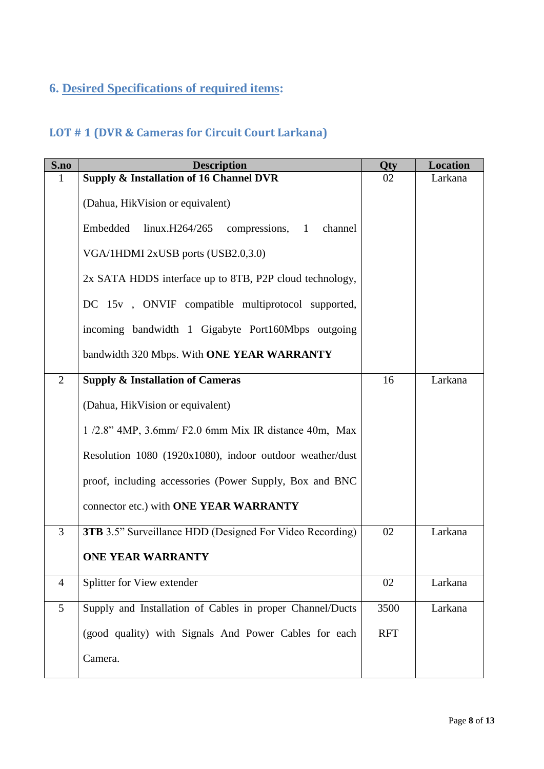# <span id="page-7-0"></span>**6. Desired Specifications of required items:**

# <span id="page-7-1"></span>**LOT # 1 (DVR & Cameras for Circuit Court Larkana)**

| S.no           | <b>Description</b>                                                           | <b>Qty</b> | <b>Location</b> |
|----------------|------------------------------------------------------------------------------|------------|-----------------|
| 1              | <b>Supply &amp; Installation of 16 Channel DVR</b>                           | 02         | Larkana         |
|                | (Dahua, Hik Vision or equivalent)                                            |            |                 |
|                | Embedded<br>$\text{linux.H264/265}$ compressions,<br>channel<br>$\mathbf{1}$ |            |                 |
|                | VGA/1HDMI 2xUSB ports (USB2.0,3.0)                                           |            |                 |
|                | 2x SATA HDDS interface up to 8TB, P2P cloud technology,                      |            |                 |
|                | DC 15v, ONVIF compatible multiprotocol supported,                            |            |                 |
|                | incoming bandwidth 1 Gigabyte Port160Mbps outgoing                           |            |                 |
|                | bandwidth 320 Mbps. With ONE YEAR WARRANTY                                   |            |                 |
| 2              | <b>Supply &amp; Installation of Cameras</b>                                  | 16         | Larkana         |
|                | (Dahua, HikVision or equivalent)                                             |            |                 |
|                | $1/2.8$ " 4MP, 3.6mm/ F2.0 6mm Mix IR distance 40m, Max                      |            |                 |
|                | Resolution 1080 (1920x1080), indoor outdoor weather/dust                     |            |                 |
|                | proof, including accessories (Power Supply, Box and BNC                      |            |                 |
|                | connector etc.) with ONE YEAR WARRANTY                                       |            |                 |
| $\overline{3}$ | <b>3TB</b> 3.5" Surveillance HDD (Designed For Video Recording)              | 02         | Larkana         |
|                | <b>ONE YEAR WARRANTY</b>                                                     |            |                 |
| $\overline{4}$ | Splitter for View extender                                                   | 02         | Larkana         |
| 5              | Supply and Installation of Cables in proper Channel/Ducts                    | 3500       | Larkana         |
|                | (good quality) with Signals And Power Cables for each                        | <b>RFT</b> |                 |
|                | Camera.                                                                      |            |                 |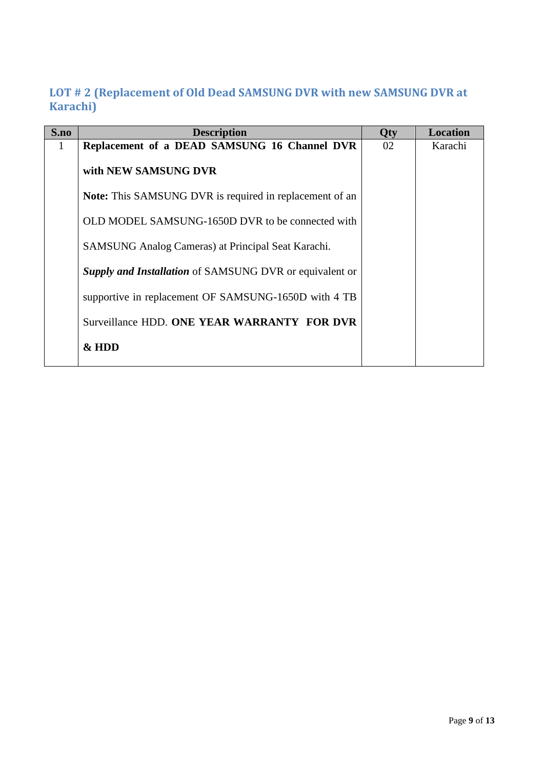# <span id="page-8-0"></span>**LOT # 2 (Replacement of Old Dead SAMSUNG DVR with new SAMSUNG DVR at Karachi)**

| S.no | <b>Description</b>                                             | Qty | <b>Location</b> |
|------|----------------------------------------------------------------|-----|-----------------|
| 1    | Replacement of a DEAD SAMSUNG 16 Channel DVR                   | 02  | Karachi         |
|      | with NEW SAMSUNG DVR                                           |     |                 |
|      | <b>Note:</b> This SAMSUNG DVR is required in replacement of an |     |                 |
|      | OLD MODEL SAMSUNG-1650D DVR to be connected with               |     |                 |
|      | SAMSUNG Analog Cameras) at Principal Seat Karachi.             |     |                 |
|      | <b>Supply and Installation</b> of SAMSUNG DVR or equivalent or |     |                 |
|      | supportive in replacement OF SAMSUNG-1650D with 4 TB           |     |                 |
|      | Surveillance HDD. ONE YEAR WARRANTY FOR DVR                    |     |                 |
|      | &HDD                                                           |     |                 |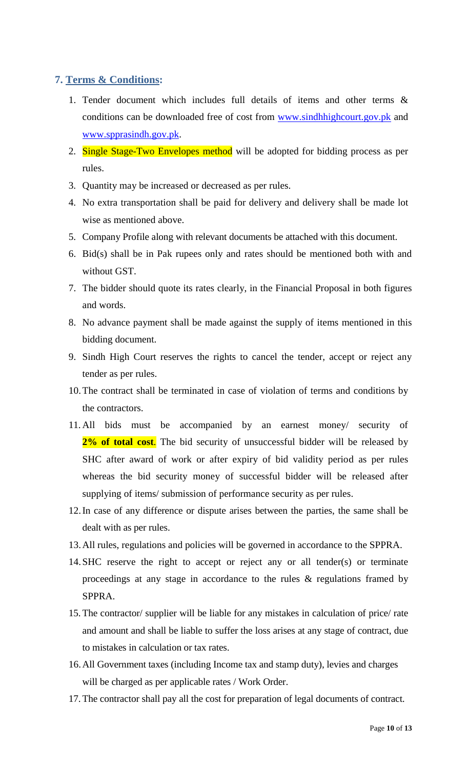### <span id="page-9-0"></span>**7. Terms & Conditions:**

- 1. Tender document which includes full details of items and other terms & conditions can be downloaded free of cost from [www.sindhhighcourt.gov.pk](http://www.sindhhighcourt.gov.pk/) and [www.spprasindh.gov.pk.](http://www.spprasindh.gov.pk/)
- 2. Single Stage-Two Envelopes method will be adopted for bidding process as per rules.
- 3. Quantity may be increased or decreased as per rules.
- 4. No extra transportation shall be paid for delivery and delivery shall be made lot wise as mentioned above.
- 5. Company Profile along with relevant documents be attached with this document.
- 6. Bid(s) shall be in Pak rupees only and rates should be mentioned both with and without GST.
- 7. The bidder should quote its rates clearly, in the Financial Proposal in both figures and words.
- 8. No advance payment shall be made against the supply of items mentioned in this bidding document.
- 9. Sindh High Court reserves the rights to cancel the tender, accept or reject any tender as per rules.
- 10.The contract shall be terminated in case of violation of terms and conditions by the contractors.
- 11. All bids must be accompanied by an earnest money/ security of 2<sup>%</sup> of total cost. The bid security of unsuccessful bidder will be released by SHC after award of work or after expiry of bid validity period as per rules whereas the bid security money of successful bidder will be released after supplying of items/ submission of performance security as per rules.
- 12.In case of any difference or dispute arises between the parties, the same shall be dealt with as per rules.
- 13.All rules, regulations and policies will be governed in accordance to the SPPRA.
- 14.SHC reserve the right to accept or reject any or all tender(s) or terminate proceedings at any stage in accordance to the rules & regulations framed by SPPRA.
- 15. The contractor/ supplier will be liable for any mistakes in calculation of price/ rate and amount and shall be liable to suffer the loss arises at any stage of contract, due to mistakes in calculation or tax rates.
- 16.All Government taxes (including Income tax and stamp duty), levies and charges will be charged as per applicable rates / Work Order.
- 17. The contractor shall pay all the cost for preparation of legal documents of contract.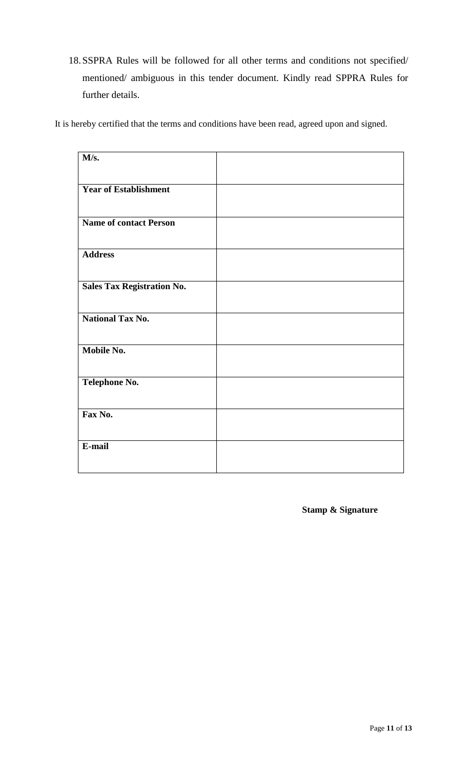18.SSPRA Rules will be followed for all other terms and conditions not specified/ mentioned/ ambiguous in this tender document. Kindly read SPPRA Rules for further details.

It is hereby certified that the terms and conditions have been read, agreed upon and signed.

| M/s.                              |  |
|-----------------------------------|--|
| <b>Year of Establishment</b>      |  |
| <b>Name of contact Person</b>     |  |
| <b>Address</b>                    |  |
| <b>Sales Tax Registration No.</b> |  |
|                                   |  |
| <b>National Tax No.</b>           |  |
| Mobile No.                        |  |
| Telephone No.                     |  |
| Fax No.                           |  |
| E-mail                            |  |
|                                   |  |

**Stamp & Signature**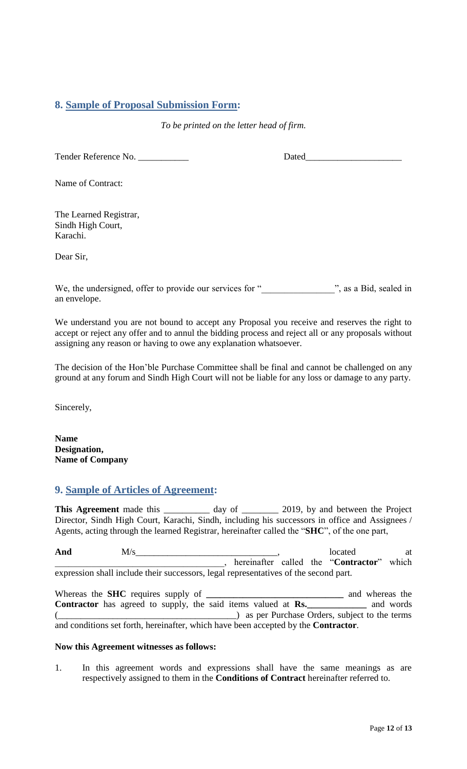### <span id="page-11-0"></span>**8. Sample of Proposal Submission Form:**

*To be printed on the letter head of firm.*

Tender Reference No. \_\_\_\_\_\_\_\_\_\_\_ Dated\_\_\_\_\_\_\_\_\_\_\_\_\_\_\_\_\_\_\_\_\_

Name of Contract:

The Learned Registrar, Sindh High Court, Karachi.

Dear Sir,

We, the undersigned, offer to provide our services for " z, as a Bid, sealed in an envelope.

<span id="page-11-1"></span>We understand you are not bound to accept any Proposal you receive and reserves the right to accept or reject any offer and to annul the bidding process and reject all or any proposals without assigning any reason or having to owe any explanation whatsoever.

The decision of the Hon"ble Purchase Committee shall be final and cannot be challenged on any ground at any forum and Sindh High Court will not be liable for any loss or damage to any party.

Sincerely,

**Name Designation, Name of Company**

### **9. Sample of Articles of Agreement:**

This Agreement made this \_\_\_\_\_\_\_\_\_ day of \_\_\_\_\_\_\_ 2019, by and between the Project Director, Sindh High Court, Karachi, Sindh, including his successors in office and Assignees / Agents, acting through the learned Registrar, hereinafter called the "**SHC**", of the one part,

And  $M/s$  at  $M/s$  at  $M/s$  at  $M/s$  at  $M$ \_\_\_\_\_\_\_\_\_\_\_\_\_\_\_\_\_\_\_\_\_\_\_\_\_\_\_\_\_\_\_\_\_\_\_\_\_, hereinafter called the "**Contractor**" which expression shall include their successors, legal representatives of the second part.

Whereas the **SHC** requires supply of **\_\_\_\_\_\_\_\_\_\_\_\_\_\_\_\_\_\_\_\_\_\_\_\_\_\_\_\_\_\_** and whereas the **Contractor** has agreed to supply, the said items valued at **Rs.\_\_\_\_\_\_\_\_\_\_\_\_\_** and words  $($  as per Purchase Orders, subject to the terms and conditions set forth, hereinafter, which have been accepted by the **Contractor**.

#### **Now this Agreement witnesses as follows:**

1. In this agreement words and expressions shall have the same meanings as are respectively assigned to them in the **Conditions of Contract** hereinafter referred to.